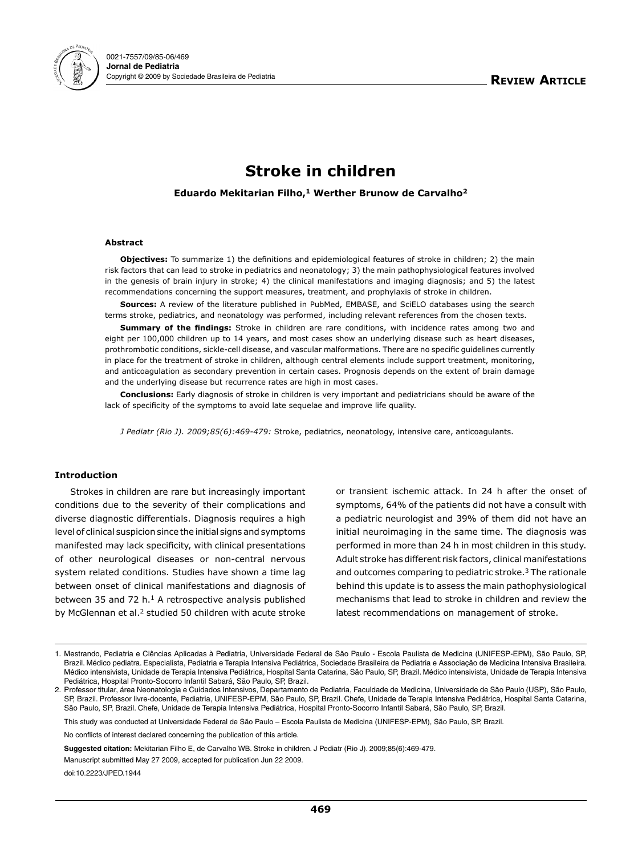

# **Stroke in children**

**Eduardo Mekitarian Filho,<sup>1</sup> Werther Brunow de Carvalho<sup>2</sup>**

## **Abstract**

**Objectives:** To summarize 1) the definitions and epidemiological features of stroke in children; 2) the main risk factors that can lead to stroke in pediatrics and neonatology; 3) the main pathophysiological features involved in the genesis of brain injury in stroke; 4) the clinical manifestations and imaging diagnosis; and 5) the latest recommendations concerning the support measures, treatment, and prophylaxis of stroke in children.

**Sources:** A review of the literature published in PubMed, EMBASE, and SciELO databases using the search terms stroke, pediatrics, and neonatology was performed, including relevant references from the chosen texts.

**Summary of the findings:** Stroke in children are rare conditions, with incidence rates among two and eight per 100,000 children up to 14 years, and most cases show an underlying disease such as heart diseases, prothrombotic conditions, sickle-cell disease, and vascular malformations. There are no specific guidelines currently in place for the treatment of stroke in children, although central elements include support treatment, monitoring, and anticoagulation as secondary prevention in certain cases. Prognosis depends on the extent of brain damage and the underlying disease but recurrence rates are high in most cases.

**Conclusions:** Early diagnosis of stroke in children is very important and pediatricians should be aware of the lack of specificity of the symptoms to avoid late sequelae and improve life quality.

*J Pediatr (Rio J). 2009;85(6):469-479:* Stroke, pediatrics, neonatology, intensive care, anticoagulants.

## **Introduction**

Strokes in children are rare but increasingly important conditions due to the severity of their complications and diverse diagnostic differentials. Diagnosis requires a high level of clinical suspicion since the initial signs and symptoms manifested may lack specificity, with clinical presentations of other neurological diseases or non-central nervous system related conditions. Studies have shown a time lag between onset of clinical manifestations and diagnosis of between 35 and 72 h.<sup>1</sup> A retrospective analysis published by McGlennan et al.<sup>2</sup> studied 50 children with acute stroke or transient ischemic attack. In 24 h after the onset of symptoms, 64% of the patients did not have a consult with a pediatric neurologist and 39% of them did not have an initial neuroimaging in the same time. The diagnosis was performed in more than 24 h in most children in this study. Adult stroke has different risk factors, clinical manifestations and outcomes comparing to pediatric stroke.3 The rationale behind this update is to assess the main pathophysiological mechanisms that lead to stroke in children and review the latest recommendations on management of stroke.

No conflicts of interest declared concerning the publication of this article.

**Suggested citation:** Mekitarian Filho E, de Carvalho WB. Stroke in children. J Pediatr (Rio J). 2009;85(6):469-479.

Manuscript submitted May 27 2009, accepted for publication Jun 22 2009.

doi:10.2223/JPED.1944

<sup>1.</sup> Mestrando, Pediatria e Ciências Aplicadas à Pediatria, Universidade Federal de São Paulo - Escola Paulista de Medicina (UNIFESP-EPM), São Paulo, SP, Brazil. Médico pediatra. Especialista, Pediatria e Terapia Intensiva Pediátrica, Sociedade Brasileira de Pediatria e Associação de Medicina Intensiva Brasileira. Médico intensivista, Unidade de Terapia Intensiva Pediátrica, Hospital Santa Catarina, São Paulo, SP, Brazil. Médico intensivista, Unidade de Terapia Intensiva Pediátrica, Hospital Pronto-Socorro Infantil Sabará, São Paulo, SP, Brazil.

<sup>2.</sup> Professor titular, área Neonatologia e Cuidados Intensivos, Departamento de Pediatria, Faculdade de Medicina, Universidade de São Paulo (USP), São Paulo, SP, Brazil. Professor livre-docente, Pediatria, UNIFESP-EPM, São Paulo, SP, Brazil. Chefe, Unidade de Terapia Intensiva Pediátrica, Hospital Santa Catarina, São Paulo, SP, Brazil. Chefe, Unidade de Terapia Intensiva Pediátrica, Hospital Pronto-Socorro Infantil Sabará, São Paulo, SP, Brazil.

This study was conducted at Universidade Federal de São Paulo – Escola Paulista de Medicina (UNIFESP-EPM), São Paulo, SP, Brazil.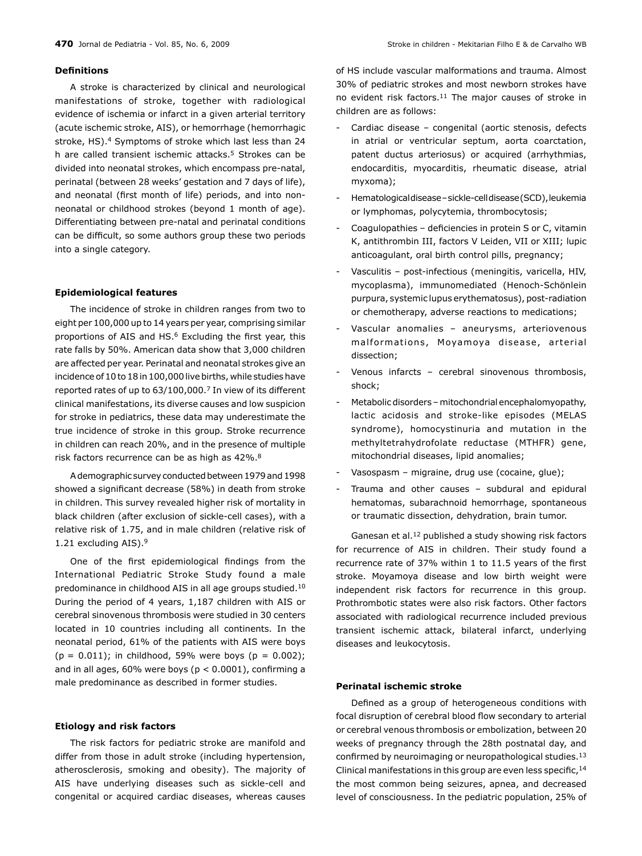## **Definitions**

A stroke is characterized by clinical and neurological manifestations of stroke, together with radiological evidence of ischemia or infarct in a given arterial territory (acute ischemic stroke, AIS), or hemorrhage (hemorrhagic stroke, HS).<sup>4</sup> Symptoms of stroke which last less than 24 h are called transient ischemic attacks.5 Strokes can be divided into neonatal strokes, which encompass pre-natal, perinatal (between 28 weeks' gestation and 7 days of life), and neonatal (first month of life) periods, and into nonneonatal or childhood strokes (beyond 1 month of age). Differentiating between pre-natal and perinatal conditions can be difficult, so some authors group these two periods into a single category.

#### **Epidemiological features**

The incidence of stroke in children ranges from two to eight per 100,000 up to 14 years per year, comprising similar proportions of AIS and HS.<sup>6</sup> Excluding the first year, this rate falls by 50%. American data show that 3,000 children are affected per year. Perinatal and neonatal strokes give an incidence of 10 to 18 in 100,000 live births, while studies have reported rates of up to 63/100,000.7 In view of its different clinical manifestations, its diverse causes and low suspicion for stroke in pediatrics, these data may underestimate the true incidence of stroke in this group. Stroke recurrence in children can reach 20%, and in the presence of multiple risk factors recurrence can be as high as 42%.8

A demographic survey conducted between 1979 and 1998 showed a significant decrease (58%) in death from stroke in children. This survey revealed higher risk of mortality in black children (after exclusion of sickle-cell cases), with a relative risk of 1.75, and in male children (relative risk of 1.21 excluding AIS).9

One of the first epidemiological findings from the International Pediatric Stroke Study found a male predominance in childhood AIS in all age groups studied.10 During the period of 4 years, 1,187 children with AIS or cerebral sinovenous thrombosis were studied in 30 centers located in 10 countries including all continents. In the neonatal period, 61% of the patients with AIS were boys  $(p = 0.011)$ ; in childhood, 59% were boys  $(p = 0.002)$ ; and in all ages, 60% were boys ( $p < 0.0001$ ), confirming a male predominance as described in former studies.

#### **Etiology and risk factors**

The risk factors for pediatric stroke are manifold and differ from those in adult stroke (including hypertension, atherosclerosis, smoking and obesity). The majority of AIS have underlying diseases such as sickle-cell and congenital or acquired cardiac diseases, whereas causes of HS include vascular malformations and trauma. Almost 30% of pediatric strokes and most newborn strokes have no evident risk factors.<sup>11</sup> The major causes of stroke in children are as follows:

- Cardiac disease congenital (aortic stenosis, defects in atrial or ventricular septum, aorta coarctation, patent ductus arteriosus) or acquired (arrhythmias, endocarditis, myocarditis, rheumatic disease, atrial myxoma);
- Hematological disease sickle-cell disease (SCD), leukemia or lymphomas, polycytemia, thrombocytosis;
- Coagulopathies deficiencies in protein S or C, vitamin K, antithrombin III, factors V Leiden, VII or XIII; lupic anticoagulant, oral birth control pills, pregnancy;
- Vasculitis post-infectious (meningitis, varicella, HIV, mycoplasma), immunomediated (Henoch-Schönlein purpura, systemic lupus erythematosus), post-radiation or chemotherapy, adverse reactions to medications;
- Vascular anomalies aneurysms, arteriovenous malformations, Moyamoya disease, arterial dissection;
- Venous infarcts cerebral sinovenous thrombosis, shock;
- Metabolic disorders mitochondrial encephalomyopathy, lactic acidosis and stroke-like episodes (MELAS syndrome), homocystinuria and mutation in the methyltetrahydrofolate reductase (MTHFR) gene, mitochondrial diseases, lipid anomalies;
- Vasospasm migraine, drug use (cocaine, glue);
- Trauma and other causes subdural and epidural hematomas, subarachnoid hemorrhage, spontaneous or traumatic dissection, dehydration, brain tumor.

Ganesan et al.12 published a study showing risk factors for recurrence of AIS in children. Their study found a recurrence rate of 37% within 1 to 11.5 years of the first stroke. Moyamoya disease and low birth weight were independent risk factors for recurrence in this group. Prothrombotic states were also risk factors. Other factors associated with radiological recurrence included previous transient ischemic attack, bilateral infarct, underlying diseases and leukocytosis.

## **Perinatal ischemic stroke**

Defined as a group of heterogeneous conditions with focal disruption of cerebral blood flow secondary to arterial or cerebral venous thrombosis or embolization, between 20 weeks of pregnancy through the 28th postnatal day, and confirmed by neuroimaging or neuropathological studies.13 Clinical manifestations in this group are even less specific, 14 the most common being seizures, apnea, and decreased level of consciousness. In the pediatric population, 25% of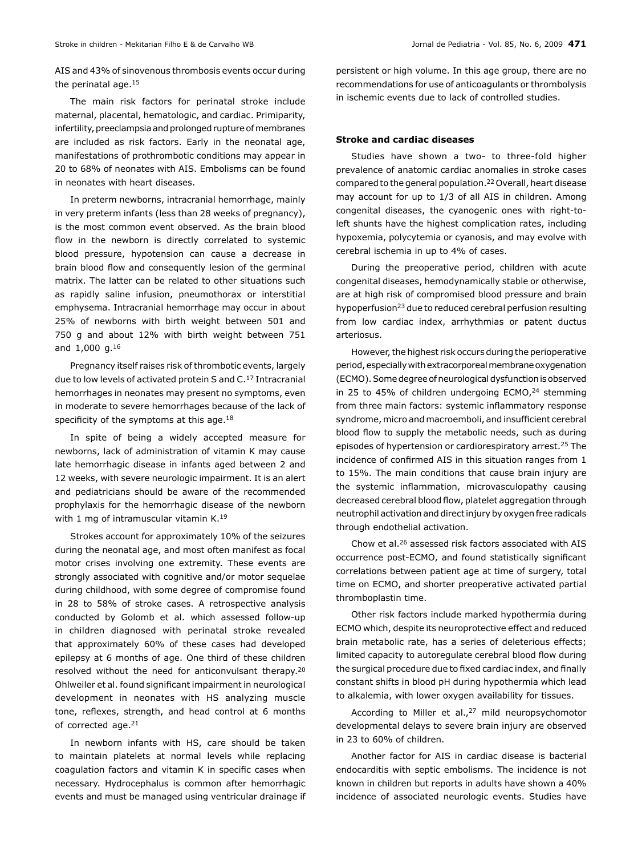AIS and 43% of sinovenous thrombosis events occur during the perinatal age.15

The main risk factors for perinatal stroke include maternal, placental, hematologic, and cardiac. Primiparity, infertility, preeclampsia and prolonged rupture of membranes are included as risk factors. Early in the neonatal age, manifestations of prothrombotic conditions may appear in 20 to 68% of neonates with AIS. Embolisms can be found in neonates with heart diseases.

In preterm newborns, intracranial hemorrhage, mainly in very preterm infants (less than 28 weeks of pregnancy), is the most common event observed. As the brain blood flow in the newborn is directly correlated to systemic blood pressure, hypotension can cause a decrease in brain blood flow and consequently lesion of the germinal matrix. The latter can be related to other situations such as rapidly saline infusion, pneumothorax or interstitial emphysema. Intracranial hemorrhage may occur in about 25% of newborns with birth weight between 501 and 750 g and about 12% with birth weight between 751 and 1,000 g.16

Pregnancy itself raises risk of thrombotic events, largely due to low levels of activated protein S and C.17 Intracranial hemorrhages in neonates may present no symptoms, even in moderate to severe hemorrhages because of the lack of specificity of the symptoms at this age.<sup>18</sup>

In spite of being a widely accepted measure for newborns, lack of administration of vitamin K may cause late hemorrhagic disease in infants aged between 2 and 12 weeks, with severe neurologic impairment. It is an alert and pediatricians should be aware of the recommended prophylaxis for the hemorrhagic disease of the newborn with 1 mg of intramuscular vitamin K.19

Strokes account for approximately 10% of the seizures during the neonatal age, and most often manifest as focal motor crises involving one extremity. These events are strongly associated with cognitive and/or motor sequelae during childhood, with some degree of compromise found in 28 to 58% of stroke cases. A retrospective analysis conducted by Golomb et al. which assessed follow-up in children diagnosed with perinatal stroke revealed that approximately 60% of these cases had developed epilepsy at 6 months of age. One third of these children resolved without the need for anticonvulsant therapy.20 Ohlweiler et al. found significant impairment in neurological development in neonates with HS analyzing muscle tone, reflexes, strength, and head control at 6 months of corrected age.21

In newborn infants with HS, care should be taken to maintain platelets at normal levels while replacing coagulation factors and vitamin K in specific cases when necessary. Hydrocephalus is common after hemorrhagic events and must be managed using ventricular drainage if persistent or high volume. In this age group, there are no recommendations for use of anticoagulants or thrombolysis in ischemic events due to lack of controlled studies.

## **Stroke and cardiac diseases**

Studies have shown a two- to three-fold higher prevalence of anatomic cardiac anomalies in stroke cases compared to the general population.22 Overall, heart disease may account for up to 1/3 of all AIS in children. Among congenital diseases, the cyanogenic ones with right-toleft shunts have the highest complication rates, including hypoxemia, polycytemia or cyanosis, and may evolve with cerebral ischemia in up to 4% of cases.

During the preoperative period, children with acute congenital diseases, hemodynamically stable or otherwise, are at high risk of compromised blood pressure and brain hypoperfusion23 due to reduced cerebral perfusion resulting from low cardiac index, arrhythmias or patent ductus arteriosus.

However, the highest risk occurs during the perioperative period, especially with extracorporeal membrane oxygenation (ECMO). Some degree of neurological dysfunction is observed in 25 to 45% of children undergoing ECMO,<sup>24</sup> stemming from three main factors: systemic inflammatory response syndrome, micro and macroemboli, and insufficient cerebral blood flow to supply the metabolic needs, such as during episodes of hypertension or cardiorespiratory arrest.25 The incidence of confirmed AIS in this situation ranges from 1 to 15%. The main conditions that cause brain injury are the systemic inflammation, microvasculopathy causing decreased cerebral blood flow, platelet aggregation through neutrophil activation and direct injury by oxygen free radicals through endothelial activation.

Chow et al.26 assessed risk factors associated with AIS occurrence post-ECMO, and found statistically significant correlations between patient age at time of surgery, total time on ECMO, and shorter preoperative activated partial thromboplastin time.

Other risk factors include marked hypothermia during ECMO which, despite its neuroprotective effect and reduced brain metabolic rate, has a series of deleterious effects; limited capacity to autoregulate cerebral blood flow during the surgical procedure due to fixed cardiac index, and finally constant shifts in blood pH during hypothermia which lead to alkalemia, with lower oxygen availability for tissues.

According to Miller et al., $27$  mild neuropsychomotor developmental delays to severe brain injury are observed in 23 to 60% of children.

Another factor for AIS in cardiac disease is bacterial endocarditis with septic embolisms. The incidence is not known in children but reports in adults have shown a 40% incidence of associated neurologic events. Studies have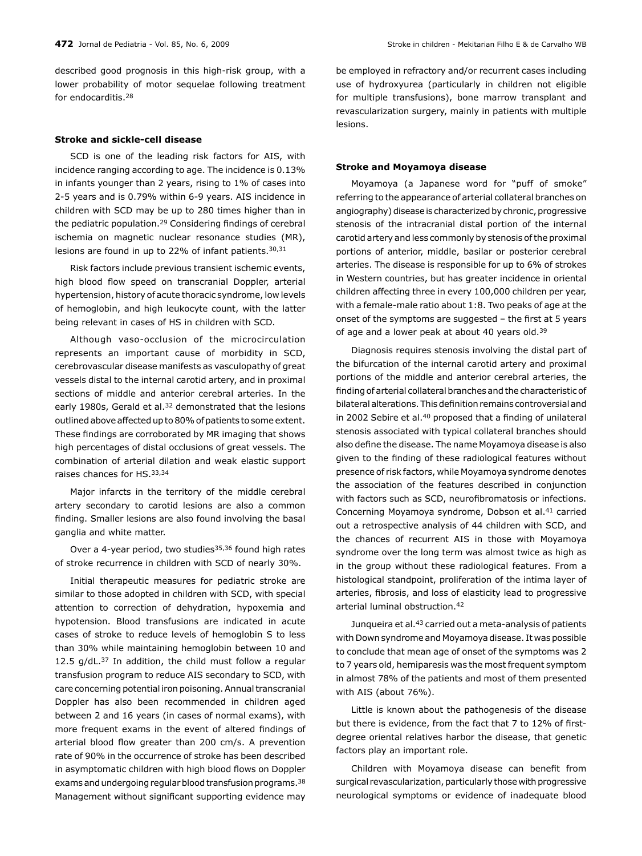described good prognosis in this high-risk group, with a lower probability of motor sequelae following treatment for endocarditis.28

## **Stroke and sickle-cell disease**

SCD is one of the leading risk factors for AIS, with incidence ranging according to age. The incidence is 0.13% in infants younger than 2 years, rising to 1% of cases into 2-5 years and is 0.79% within 6-9 years. AIS incidence in children with SCD may be up to 280 times higher than in the pediatric population.29 Considering findings of cerebral ischemia on magnetic nuclear resonance studies (MR), lesions are found in up to 22% of infant patients.30,31

Risk factors include previous transient ischemic events, high blood flow speed on transcranial Doppler, arterial hypertension, history of acute thoracic syndrome, low levels of hemoglobin, and high leukocyte count, with the latter being relevant in cases of HS in children with SCD.

Although vaso-occlusion of the microcirculation represents an important cause of morbidity in SCD, cerebrovascular disease manifests as vasculopathy of great vessels distal to the internal carotid artery, and in proximal sections of middle and anterior cerebral arteries. In the early 1980s, Gerald et al.<sup>32</sup> demonstrated that the lesions outlined above affected up to 80% of patients to some extent. These findings are corroborated by MR imaging that shows high percentages of distal occlusions of great vessels. The combination of arterial dilation and weak elastic support raises chances for HS.33,34

Major infarcts in the territory of the middle cerebral artery secondary to carotid lesions are also a common finding. Smaller lesions are also found involving the basal ganglia and white matter.

Over a 4-year period, two studies $35,36$  found high rates of stroke recurrence in children with SCD of nearly 30%.

Initial therapeutic measures for pediatric stroke are similar to those adopted in children with SCD, with special attention to correction of dehydration, hypoxemia and hypotension. Blood transfusions are indicated in acute cases of stroke to reduce levels of hemoglobin S to less than 30% while maintaining hemoglobin between 10 and 12.5  $g/dL$ .<sup>37</sup> In addition, the child must follow a regular transfusion program to reduce AIS secondary to SCD, with care concerning potential iron poisoning. Annual transcranial Doppler has also been recommended in children aged between 2 and 16 years (in cases of normal exams), with more frequent exams in the event of altered findings of arterial blood flow greater than 200 cm/s. A prevention rate of 90% in the occurrence of stroke has been described in asymptomatic children with high blood flows on Doppler exams and undergoing regular blood transfusion programs.38 Management without significant supporting evidence may be employed in refractory and/or recurrent cases including use of hydroxyurea (particularly in children not eligible for multiple transfusions), bone marrow transplant and revascularization surgery, mainly in patients with multiple lesions.

#### **Stroke and Moyamoya disease**

Moyamoya (a Japanese word for "puff of smoke" referring to the appearance of arterial collateral branches on angiography) disease is characterized by chronic, progressive stenosis of the intracranial distal portion of the internal carotid artery and less commonly by stenosis of the proximal portions of anterior, middle, basilar or posterior cerebral arteries. The disease is responsible for up to 6% of strokes in Western countries, but has greater incidence in oriental children affecting three in every 100,000 children per year, with a female-male ratio about 1:8. Two peaks of age at the onset of the symptoms are suggested – the first at 5 years of age and a lower peak at about 40 years old.<sup>39</sup>

Diagnosis requires stenosis involving the distal part of the bifurcation of the internal carotid artery and proximal portions of the middle and anterior cerebral arteries, the finding of arterial collateral branches and the characteristic of bilateral alterations. This definition remains controversial and in 2002 Sebire et al.<sup>40</sup> proposed that a finding of unilateral stenosis associated with typical collateral branches should also define the disease. The name Moyamoya disease is also given to the finding of these radiological features without presence of risk factors, while Moyamoya syndrome denotes the association of the features described in conjunction with factors such as SCD, neurofibromatosis or infections. Concerning Moyamoya syndrome, Dobson et al.41 carried out a retrospective analysis of 44 children with SCD, and the chances of recurrent AIS in those with Moyamoya syndrome over the long term was almost twice as high as in the group without these radiological features. From a histological standpoint, proliferation of the intima layer of arteries, fibrosis, and loss of elasticity lead to progressive arterial luminal obstruction.42

Junqueira et al.43 carried out a meta-analysis of patients with Down syndrome and Moyamoya disease. It was possible to conclude that mean age of onset of the symptoms was 2 to 7 years old, hemiparesis was the most frequent symptom in almost 78% of the patients and most of them presented with AIS (about 76%).

Little is known about the pathogenesis of the disease but there is evidence, from the fact that 7 to 12% of firstdegree oriental relatives harbor the disease, that genetic factors play an important role.

Children with Moyamoya disease can benefit from surgical revascularization, particularly those with progressive neurological symptoms or evidence of inadequate blood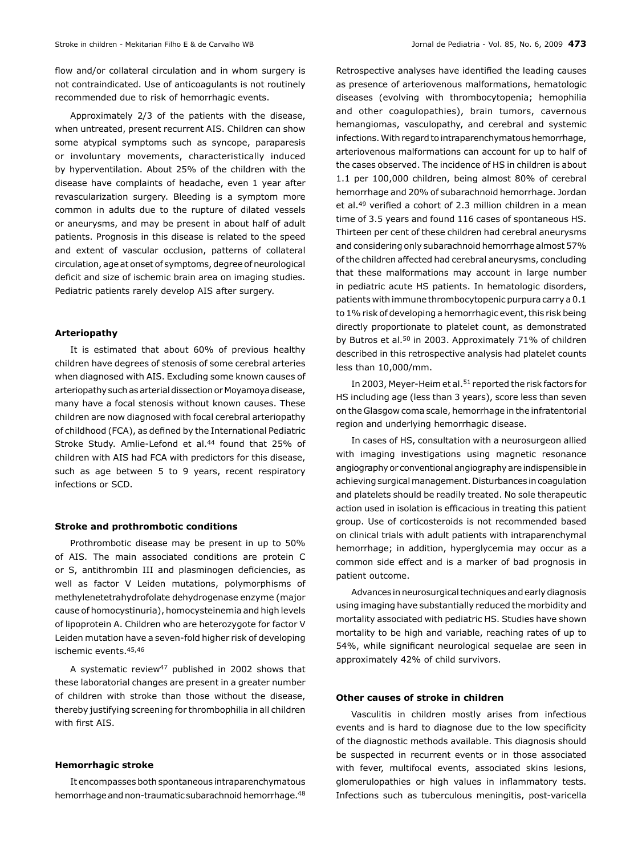flow and/or collateral circulation and in whom surgery is not contraindicated. Use of anticoagulants is not routinely recommended due to risk of hemorrhagic events.

Approximately 2/3 of the patients with the disease, when untreated, present recurrent AIS. Children can show some atypical symptoms such as syncope, paraparesis or involuntary movements, characteristically induced by hyperventilation. About 25% of the children with the disease have complaints of headache, even 1 year after revascularization surgery. Bleeding is a symptom more common in adults due to the rupture of dilated vessels or aneurysms, and may be present in about half of adult patients. Prognosis in this disease is related to the speed and extent of vascular occlusion, patterns of collateral circulation, age at onset of symptoms, degree of neurological deficit and size of ischemic brain area on imaging studies. Pediatric patients rarely develop AIS after surgery.

#### **Arteriopathy**

It is estimated that about 60% of previous healthy children have degrees of stenosis of some cerebral arteries when diagnosed with AIS. Excluding some known causes of arteriopathy such as arterial dissection or Moyamoya disease, many have a focal stenosis without known causes. These children are now diagnosed with focal cerebral arteriopathy of childhood (FCA), as defined by the International Pediatric Stroke Study. Amlie-Lefond et al.<sup>44</sup> found that 25% of children with AIS had FCA with predictors for this disease, such as age between 5 to 9 years, recent respiratory infections or SCD.

#### **Stroke and prothrombotic conditions**

Prothrombotic disease may be present in up to 50% of AIS. The main associated conditions are protein C or S, antithrombin III and plasminogen deficiencies, as well as factor V Leiden mutations, polymorphisms of methylenetetrahydrofolate dehydrogenase enzyme (major cause of homocystinuria), homocysteinemia and high levels of lipoprotein A. Children who are heterozygote for factor V Leiden mutation have a seven-fold higher risk of developing ischemic events.45,46

A systematic review47 published in 2002 shows that these laboratorial changes are present in a greater number of children with stroke than those without the disease, thereby justifying screening for thrombophilia in all children with first AIS.

## **Hemorrhagic stroke**

It encompasses both spontaneous intraparenchymatous hemorrhage and non-traumatic subarachnoid hemorrhage.<sup>48</sup> Retrospective analyses have identified the leading causes as presence of arteriovenous malformations, hematologic diseases (evolving with thrombocytopenia; hemophilia and other coagulopathies), brain tumors, cavernous hemangiomas, vasculopathy, and cerebral and systemic infections. With regard to intraparenchymatous hemorrhage, arteriovenous malformations can account for up to half of the cases observed. The incidence of HS in children is about 1.1 per 100,000 children, being almost 80% of cerebral hemorrhage and 20% of subarachnoid hemorrhage. Jordan et al.49 verified a cohort of 2.3 million children in a mean time of 3.5 years and found 116 cases of spontaneous HS. Thirteen per cent of these children had cerebral aneurysms and considering only subarachnoid hemorrhage almost 57% of the children affected had cerebral aneurysms, concluding that these malformations may account in large number in pediatric acute HS patients. In hematologic disorders, patients with immune thrombocytopenic purpura carry a 0.1 to 1% risk of developing a hemorrhagic event, this risk being directly proportionate to platelet count, as demonstrated by Butros et al.<sup>50</sup> in 2003. Approximately 71% of children described in this retrospective analysis had platelet counts less than 10,000/mm.

In 2003, Meyer-Heim et al.<sup>51</sup> reported the risk factors for HS including age (less than 3 years), score less than seven on the Glasgow coma scale, hemorrhage in the infratentorial region and underlying hemorrhagic disease.

In cases of HS, consultation with a neurosurgeon allied with imaging investigations using magnetic resonance angiography or conventional angiography are indispensible in achieving surgical management. Disturbances in coagulation and platelets should be readily treated. No sole therapeutic action used in isolation is efficacious in treating this patient group. Use of corticosteroids is not recommended based on clinical trials with adult patients with intraparenchymal hemorrhage; in addition, hyperglycemia may occur as a common side effect and is a marker of bad prognosis in patient outcome.

Advances in neurosurgical techniques and early diagnosis using imaging have substantially reduced the morbidity and mortality associated with pediatric HS. Studies have shown mortality to be high and variable, reaching rates of up to 54%, while significant neurological sequelae are seen in approximately 42% of child survivors.

## **Other causes of stroke in children**

Vasculitis in children mostly arises from infectious events and is hard to diagnose due to the low specificity of the diagnostic methods available. This diagnosis should be suspected in recurrent events or in those associated with fever, multifocal events, associated skins lesions, glomerulopathies or high values in inflammatory tests. Infections such as tuberculous meningitis, post-varicella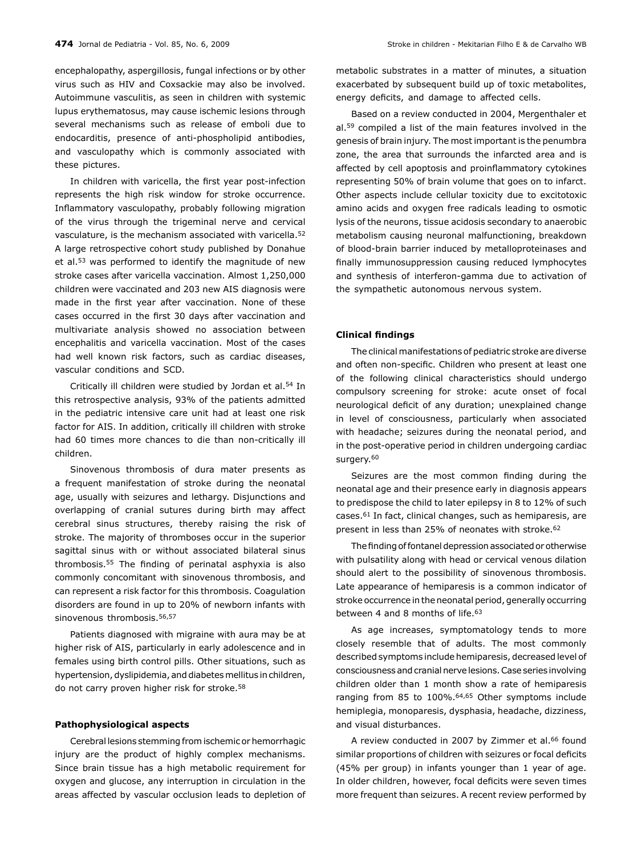encephalopathy, aspergillosis, fungal infections or by other virus such as HIV and Coxsackie may also be involved. Autoimmune vasculitis, as seen in children with systemic lupus erythematosus, may cause ischemic lesions through several mechanisms such as release of emboli due to endocarditis, presence of anti-phospholipid antibodies, and vasculopathy which is commonly associated with these pictures.

In children with varicella, the first year post-infection represents the high risk window for stroke occurrence. Inflammatory vasculopathy, probably following migration of the virus through the trigeminal nerve and cervical vasculature, is the mechanism associated with varicella.52 A large retrospective cohort study published by Donahue et al.53 was performed to identify the magnitude of new stroke cases after varicella vaccination. Almost 1,250,000 children were vaccinated and 203 new AIS diagnosis were made in the first year after vaccination. None of these cases occurred in the first 30 days after vaccination and multivariate analysis showed no association between encephalitis and varicella vaccination. Most of the cases had well known risk factors, such as cardiac diseases, vascular conditions and SCD.

Critically ill children were studied by Jordan et al.54 In this retrospective analysis, 93% of the patients admitted in the pediatric intensive care unit had at least one risk factor for AIS. In addition, critically ill children with stroke had 60 times more chances to die than non-critically ill children.

Sinovenous thrombosis of dura mater presents as a frequent manifestation of stroke during the neonatal age, usually with seizures and lethargy. Disjunctions and overlapping of cranial sutures during birth may affect cerebral sinus structures, thereby raising the risk of stroke. The majority of thromboses occur in the superior sagittal sinus with or without associated bilateral sinus thrombosis.55 The finding of perinatal asphyxia is also commonly concomitant with sinovenous thrombosis, and can represent a risk factor for this thrombosis. Coagulation disorders are found in up to 20% of newborn infants with sinovenous thrombosis.<sup>56,57</sup>

Patients diagnosed with migraine with aura may be at higher risk of AIS, particularly in early adolescence and in females using birth control pills. Other situations, such as hypertension, dyslipidemia, and diabetes mellitus in children, do not carry proven higher risk for stroke.58

### **Pathophysiological aspects**

Cerebral lesions stemming from ischemic or hemorrhagic injury are the product of highly complex mechanisms. Since brain tissue has a high metabolic requirement for oxygen and glucose, any interruption in circulation in the areas affected by vascular occlusion leads to depletion of metabolic substrates in a matter of minutes, a situation exacerbated by subsequent build up of toxic metabolites, energy deficits, and damage to affected cells.

Based on a review conducted in 2004, Mergenthaler et al.59 compiled a list of the main features involved in the genesis of brain injury. The most important is the penumbra zone, the area that surrounds the infarcted area and is affected by cell apoptosis and proinflammatory cytokines representing 50% of brain volume that goes on to infarct. Other aspects include cellular toxicity due to excitotoxic amino acids and oxygen free radicals leading to osmotic lysis of the neurons, tissue acidosis secondary to anaerobic metabolism causing neuronal malfunctioning, breakdown of blood-brain barrier induced by metalloproteinases and finally immunosuppression causing reduced lymphocytes and synthesis of interferon-gamma due to activation of the sympathetic autonomous nervous system.

## **Clinical findings**

The clinical manifestations of pediatric stroke are diverse and often non-specific. Children who present at least one of the following clinical characteristics should undergo compulsory screening for stroke: acute onset of focal neurological deficit of any duration; unexplained change in level of consciousness, particularly when associated with headache; seizures during the neonatal period, and in the post-operative period in children undergoing cardiac surgery.<sup>60</sup>

Seizures are the most common finding during the neonatal age and their presence early in diagnosis appears to predispose the child to later epilepsy in 8 to 12% of such cases.61 In fact, clinical changes, such as hemiparesis, are present in less than 25% of neonates with stroke.<sup>62</sup>

The finding of fontanel depression associated or otherwise with pulsatility along with head or cervical venous dilation should alert to the possibility of sinovenous thrombosis. Late appearance of hemiparesis is a common indicator of stroke occurrence in the neonatal period, generally occurring between 4 and 8 months of life.<sup>63</sup>

As age increases, symptomatology tends to more closely resemble that of adults. The most commonly described symptoms include hemiparesis, decreased level of consciousness and cranial nerve lesions. Case series involving children older than 1 month show a rate of hemiparesis ranging from 85 to 100%.64,65 Other symptoms include hemiplegia, monoparesis, dysphasia, headache, dizziness, and visual disturbances.

A review conducted in 2007 by Zimmer et al.<sup>66</sup> found similar proportions of children with seizures or focal deficits (45% per group) in infants younger than 1 year of age. In older children, however, focal deficits were seven times more frequent than seizures. A recent review performed by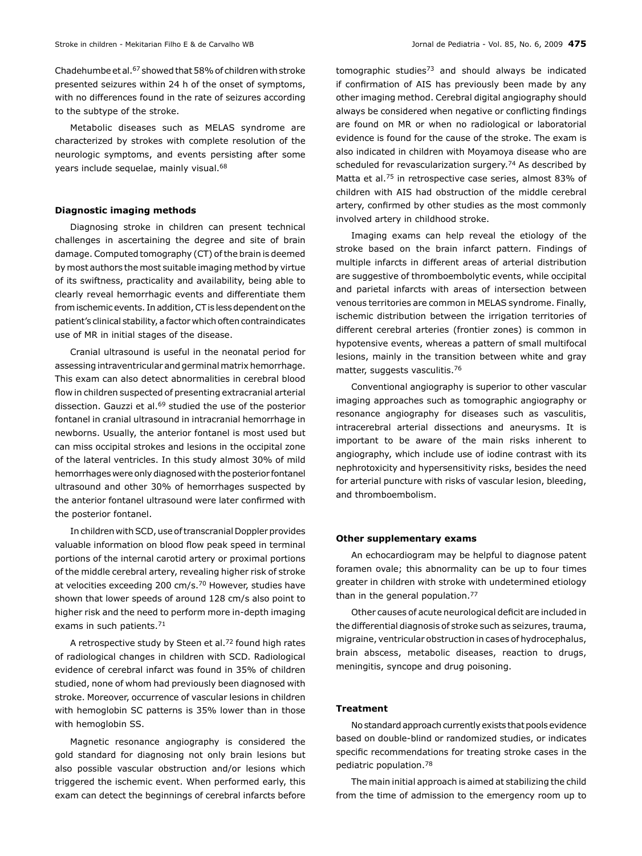Chadehumbe et al.67 showed that 58% of children with stroke presented seizures within 24 h of the onset of symptoms, with no differences found in the rate of seizures according to the subtype of the stroke.

Metabolic diseases such as MELAS syndrome are characterized by strokes with complete resolution of the neurologic symptoms, and events persisting after some years include sequelae, mainly visual.<sup>68</sup>

#### **Diagnostic imaging methods**

Diagnosing stroke in children can present technical challenges in ascertaining the degree and site of brain damage. Computed tomography (CT) of the brain is deemed by most authors the most suitable imaging method by virtue of its swiftness, practicality and availability, being able to clearly reveal hemorrhagic events and differentiate them from ischemic events. In addition, CT is less dependent on the patient's clinical stability, a factor which often contraindicates use of MR in initial stages of the disease.

Cranial ultrasound is useful in the neonatal period for assessing intraventricular and germinal matrix hemorrhage. This exam can also detect abnormalities in cerebral blood flow in children suspected of presenting extracranial arterial dissection. Gauzzi et al.<sup>69</sup> studied the use of the posterior fontanel in cranial ultrasound in intracranial hemorrhage in newborns. Usually, the anterior fontanel is most used but can miss occipital strokes and lesions in the occipital zone of the lateral ventricles. In this study almost 30% of mild hemorrhages were only diagnosed with the posterior fontanel ultrasound and other 30% of hemorrhages suspected by the anterior fontanel ultrasound were later confirmed with the posterior fontanel.

In children with SCD, use of transcranial Doppler provides valuable information on blood flow peak speed in terminal portions of the internal carotid artery or proximal portions of the middle cerebral artery, revealing higher risk of stroke at velocities exceeding 200 cm/s.70 However, studies have shown that lower speeds of around 128 cm/s also point to higher risk and the need to perform more in-depth imaging exams in such patients.<sup>71</sup>

A retrospective study by Steen et al.<sup>72</sup> found high rates of radiological changes in children with SCD. Radiological evidence of cerebral infarct was found in 35% of children studied, none of whom had previously been diagnosed with stroke. Moreover, occurrence of vascular lesions in children with hemoglobin SC patterns is 35% lower than in those with hemoglobin SS.

Magnetic resonance angiography is considered the gold standard for diagnosing not only brain lesions but also possible vascular obstruction and/or lesions which triggered the ischemic event. When performed early, this exam can detect the beginnings of cerebral infarcts before tomographic studies<sup>73</sup> and should always be indicated if confirmation of AIS has previously been made by any other imaging method. Cerebral digital angiography should always be considered when negative or conflicting findings are found on MR or when no radiological or laboratorial evidence is found for the cause of the stroke. The exam is also indicated in children with Moyamoya disease who are scheduled for revascularization surgery.<sup>74</sup> As described by Matta et al.75 in retrospective case series, almost 83% of children with AIS had obstruction of the middle cerebral artery, confirmed by other studies as the most commonly involved artery in childhood stroke.

Imaging exams can help reveal the etiology of the stroke based on the brain infarct pattern. Findings of multiple infarcts in different areas of arterial distribution are suggestive of thromboembolytic events, while occipital and parietal infarcts with areas of intersection between venous territories are common in MELAS syndrome. Finally, ischemic distribution between the irrigation territories of different cerebral arteries (frontier zones) is common in hypotensive events, whereas a pattern of small multifocal lesions, mainly in the transition between white and gray matter, suggests vasculitis.76

Conventional angiography is superior to other vascular imaging approaches such as tomographic angiography or resonance angiography for diseases such as vasculitis, intracerebral arterial dissections and aneurysms. It is important to be aware of the main risks inherent to angiography, which include use of iodine contrast with its nephrotoxicity and hypersensitivity risks, besides the need for arterial puncture with risks of vascular lesion, bleeding, and thromboembolism.

## **Other supplementary exams**

An echocardiogram may be helpful to diagnose patent foramen ovale; this abnormality can be up to four times greater in children with stroke with undetermined etiology than in the general population.77

Other causes of acute neurological deficit are included in the differential diagnosis of stroke such as seizures, trauma, migraine, ventricular obstruction in cases of hydrocephalus, brain abscess, metabolic diseases, reaction to drugs, meningitis, syncope and drug poisoning.

#### **Treatment**

No standard approach currently exists that pools evidence based on double-blind or randomized studies, or indicates specific recommendations for treating stroke cases in the pediatric population.78

The main initial approach is aimed at stabilizing the child from the time of admission to the emergency room up to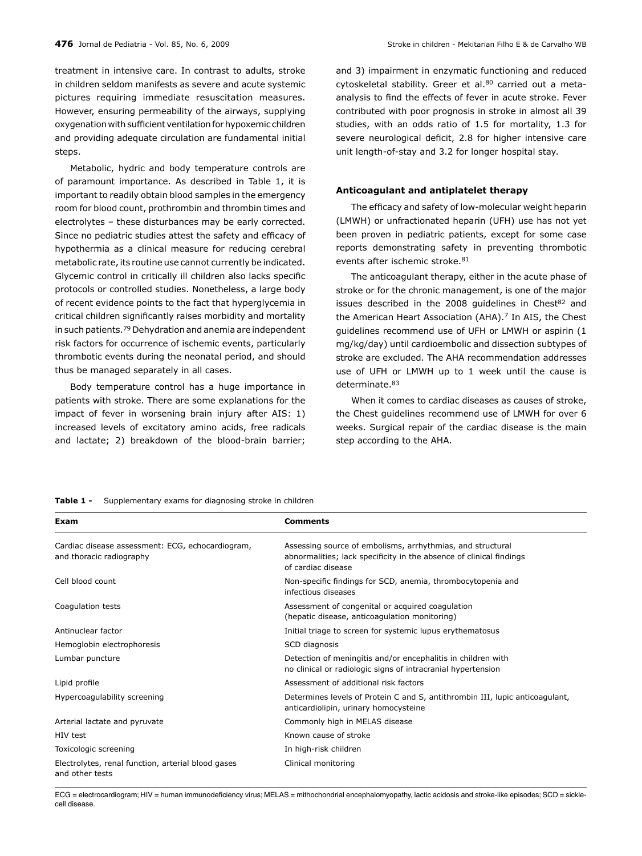treatment in intensive care. In contrast to adults, stroke in children seldom manifests as severe and acute systemic pictures requiring immediate resuscitation measures. However, ensuring permeability of the airways, supplying oxygenation with sufficient ventilation for hypoxemic children and providing adequate circulation are fundamental initial steps.

Metabolic, hydric and body temperature controls are of paramount importance. As described in Table 1, it is important to readily obtain blood samples in the emergency room for blood count, prothrombin and thrombin times and electrolytes – these disturbances may be early corrected. Since no pediatric studies attest the safety and efficacy of hypothermia as a clinical measure for reducing cerebral metabolic rate, its routine use cannot currently be indicated. Glycemic control in critically ill children also lacks specific protocols or controlled studies. Nonetheless, a large body of recent evidence points to the fact that hyperglycemia in critical children significantly raises morbidity and mortality in such patients.79 Dehydration and anemia are independent risk factors for occurrence of ischemic events, particularly thrombotic events during the neonatal period, and should thus be managed separately in all cases.

Body temperature control has a huge importance in patients with stroke. There are some explanations for the impact of fever in worsening brain injury after AIS: 1) increased levels of excitatory amino acids, free radicals and lactate; 2) breakdown of the blood-brain barrier;

and 3) impairment in enzymatic functioning and reduced cytoskeletal stability. Greer et al.<sup>80</sup> carried out a metaanalysis to find the effects of fever in acute stroke. Fever contributed with poor prognosis in stroke in almost all 39 studies, with an odds ratio of 1.5 for mortality, 1.3 for severe neurological deficit, 2.8 for higher intensive care unit length-of-stay and 3.2 for longer hospital stay.

#### **Anticoagulant and antiplatelet therapy**

The efficacy and safety of low-molecular weight heparin (LMWH) or unfractionated heparin (UFH) use has not yet been proven in pediatric patients, except for some case reports demonstrating safety in preventing thrombotic events after ischemic stroke.<sup>81</sup>

The anticoagulant therapy, either in the acute phase of stroke or for the chronic management, is one of the major issues described in the 2008 guidelines in Chest<sup>82</sup> and the American Heart Association (AHA).<sup>7</sup> In AIS, the Chest guidelines recommend use of UFH or LMWH or aspirin (1 mg/kg/day) until cardioembolic and dissection subtypes of stroke are excluded. The AHA recommendation addresses use of UFH or LMWH up to 1 week until the cause is determinate.83

When it comes to cardiac diseases as causes of stroke, the Chest guidelines recommend use of LMWH for over 6 weeks. Surgical repair of the cardiac disease is the main step according to the AHA.

| Table 1 -<br>Supplementary exams for diagnosing stroke in children |  |
|--------------------------------------------------------------------|--|
|--------------------------------------------------------------------|--|

| Exam                                                                         | <b>Comments</b>                                                                                                                                         |
|------------------------------------------------------------------------------|---------------------------------------------------------------------------------------------------------------------------------------------------------|
| Cardiac disease assessment: ECG, echocardiogram,<br>and thoracic radiography | Assessing source of embolisms, arrhythmias, and structural<br>abnormalities; lack specificity in the absence of clinical findings<br>of cardiac disease |
| Cell blood count                                                             | Non-specific findings for SCD, anemia, thrombocytopenia and<br>infectious diseases                                                                      |
| Coagulation tests                                                            | Assessment of congenital or acquired coagulation<br>(hepatic disease, anticoagulation monitoring)                                                       |
| Antinuclear factor                                                           | Initial triage to screen for systemic lupus erythematosus                                                                                               |
| Hemoglobin electrophoresis                                                   | SCD diagnosis                                                                                                                                           |
| Lumbar puncture                                                              | Detection of meningitis and/or encephalitis in children with<br>no clinical or radiologic signs of intracranial hypertension                            |
| Lipid profile                                                                | Assessment of additional risk factors                                                                                                                   |
| Hypercoagulability screening                                                 | Determines levels of Protein C and S, antithrombin III, lupic anticoagulant,<br>anticardiolipin, urinary homocysteine                                   |
| Arterial lactate and pyruvate                                                | Commonly high in MELAS disease                                                                                                                          |
| HIV test                                                                     | Known cause of stroke                                                                                                                                   |
| Toxicologic screening                                                        | In high-risk children                                                                                                                                   |
| Electrolytes, renal function, arterial blood gases<br>and other tests        | Clinical monitoring                                                                                                                                     |

ECG = electrocardiogram; HIV = human immunodeficiency virus; MELAS = mithochondrial encephalomyopathy, lactic acidosis and stroke-like episodes; SCD = sicklecell disease.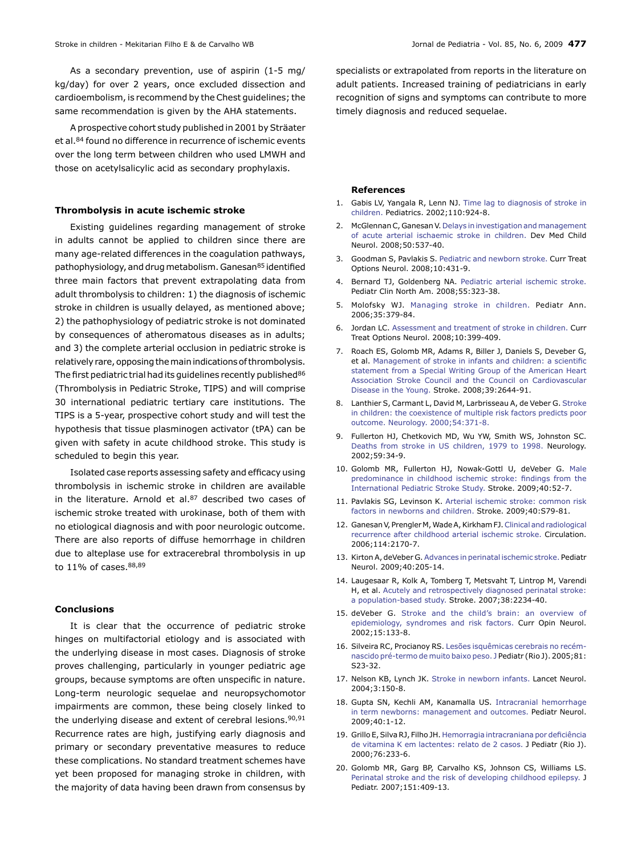As a secondary prevention, use of aspirin (1-5 mg/ kg/day) for over 2 years, once excluded dissection and cardioembolism, is recommend by the Chest guidelines; the same recommendation is given by the AHA statements.

A prospective cohort study published in 2001 by Sträater et al.<sup>84</sup> found no difference in recurrence of ischemic events over the long term between children who used LMWH and those on acetylsalicylic acid as secondary prophylaxis.

## **Thrombolysis in acute ischemic stroke**

Existing guidelines regarding management of stroke in adults cannot be applied to children since there are many age-related differences in the coagulation pathways, pathophysiology, and drug metabolism. Ganesan<sup>85</sup> identified three main factors that prevent extrapolating data from adult thrombolysis to children: 1) the diagnosis of ischemic stroke in children is usually delayed, as mentioned above; 2) the pathophysiology of pediatric stroke is not dominated by consequences of atheromatous diseases as in adults; and 3) the complete arterial occlusion in pediatric stroke is relatively rare, opposing the main indications of thrombolysis. The first pediatric trial had its guidelines recently published<sup>86</sup> (Thrombolysis in Pediatric Stroke, TIPS) and will comprise 30 international pediatric tertiary care institutions. The TIPS is a 5-year, prospective cohort study and will test the hypothesis that tissue plasminogen activator (tPA) can be given with safety in acute childhood stroke. This study is scheduled to begin this year.

Isolated case reports assessing safety and efficacy using thrombolysis in ischemic stroke in children are available in the literature. Arnold et al.<sup>87</sup> described two cases of ischemic stroke treated with urokinase, both of them with no etiological diagnosis and with poor neurologic outcome. There are also reports of diffuse hemorrhage in children due to alteplase use for extracerebral thrombolysis in up to 11% of cases.88,89

#### **Conclusions**

It is clear that the occurrence of pediatric stroke hinges on multifactorial etiology and is associated with the underlying disease in most cases. Diagnosis of stroke proves challenging, particularly in younger pediatric age groups, because symptoms are often unspecific in nature. Long-term neurologic sequelae and neuropsychomotor impairments are common, these being closely linked to the underlying disease and extent of cerebral lesions.<sup>90,91</sup> Recurrence rates are high, justifying early diagnosis and primary or secondary preventative measures to reduce these complications. No standard treatment schemes have yet been proposed for managing stroke in children, with the majority of data having been drawn from consensus by specialists or extrapolated from reports in the literature on adult patients. Increased training of pediatricians in early recognition of signs and symptoms can contribute to more timely diagnosis and reduced sequelae.

#### **References**

- 1. Gabis LV, Yangala R, Lenn NJ. [Time lag to diagnosis of stroke in](http://www.ncbi.nlm.nih.gov/pubmed/12415031) [children.](http://www.ncbi.nlm.nih.gov/pubmed/12415031) Pediatrics. 2002;110:924-8.
- 2. McGlennan C, Ganesan V. [Delays in investigation and management](http://www.ncbi.nlm.nih.gov/pubmed/18611205) [of acute arterial ischaemic stroke in children.](http://www.ncbi.nlm.nih.gov/pubmed/18611205) Dev Med Child Neurol. 2008;50:537-40.
- 3. Goodman S, Pavlakis S. [Pediatric and newborn stroke.](http://www.ncbi.nlm.nih.gov/pubmed/18990311) Curr Treat Options Neurol. 2008;10:431-9.
- 4. Bernard TJ, Goldenberg NA. [Pediatric arterial ischemic stroke.](http://www.ncbi.nlm.nih.gov/pubmed/18381089) Pediatr Clin North Am. 2008;55:323-38.
- 5. Molofsky WJ. [Managing stroke in children.](http://www.ncbi.nlm.nih.gov/pubmed/16722296) Pediatr Ann. 2006;35:379-84.
- 6. Jordan LC. [Assessment and treatment of stroke in children.](http://www.ncbi.nlm.nih.gov/pubmed/18990308) Curr Treat Options Neurol. 2008;10:399-409.
- 7. Roach ES, Golomb MR, Adams R, Biller J, Daniels S, Deveber G, et al. [Management of stroke in infants and children: a scientific](http://www.ncbi.nlm.nih.gov/pubmed/18635845) [statement from a Special Writing Group of the American Heart](http://www.ncbi.nlm.nih.gov/pubmed/18635845) [Association Stroke Council and the Council on Cardiovascular](http://www.ncbi.nlm.nih.gov/pubmed/18635845) [Disease in the Young.](http://www.ncbi.nlm.nih.gov/pubmed/18635845) Stroke. 2008;39:2644-91.
- 8. Lanthier S, Carmant L, David M, Larbrisseau A, de Veber G. [Stroke](http://www.ncbi.nlm.nih.gov/pubmed/10668698) [in children: the coexistence of multiple risk factors predicts poor](http://www.ncbi.nlm.nih.gov/pubmed/10668698) [outcome. Neurology. 2000;54:371-8.](http://www.ncbi.nlm.nih.gov/pubmed/10668698)
- 9. Fullerton HJ, Chetkovich MD, Wu YW, Smith WS, Johnston SC. [Deaths from stroke in US children, 1979 to 1998.](http://www.ncbi.nlm.nih.gov/pubmed/12105304) Neurology. 2002;59:34-9.
- 10. Golomb MR, Fullerton HJ, Nowak-Gottl U, deVeber G. [Male](http://www.ncbi.nlm.nih.gov/pubmed/18787197) [predominance in childhood ischemic stroke: findings from the](http://www.ncbi.nlm.nih.gov/pubmed/18787197) [International Pediatric Stroke Study.](http://www.ncbi.nlm.nih.gov/pubmed/18787197) Stroke. 2009;40:52-7.
- 11. Pavlakis SG, Levinson K. [Arterial ischemic stroke: common risk](http://www.ncbi.nlm.nih.gov/pubmed/19064805) [factors in newborns and children.](http://www.ncbi.nlm.nih.gov/pubmed/19064805) Stroke. 2009;40:S79-81.
- 12. Ganesan V, Prengler M, Wade A, Kirkham FJ. [Clinical and radiological](http://www.ncbi.nlm.nih.gov/pubmed/17075014) [recurrence after childhood arterial ischemic stroke.](http://www.ncbi.nlm.nih.gov/pubmed/17075014) Circulation. 2006;114:2170-7.
- 13. Kirton A, deVeber G. [Advances in perinatal ischemic stroke.](http://www.ncbi.nlm.nih.gov/pubmed/19218034) Pediatr Neurol. 2009;40:205-14.
- 14. Laugesaar R, Kolk A, Tomberg T, Metsvaht T, Lintrop M, Varendi H, et al. [Acutely and retrospectively diagnosed perinatal stroke:](http://www.ncbi.nlm.nih.gov/pubmed/17585082) [a population-based study.](http://www.ncbi.nlm.nih.gov/pubmed/17585082) Stroke. 2007;38:2234-40.
- 15. deVeber G. [Stroke and the child's brain: an overview of](http://www.ncbi.nlm.nih.gov/pubmed/11923625) [epidemiology, syndromes and risk factors.](http://www.ncbi.nlm.nih.gov/pubmed/11923625) Curr Opin Neurol. 2002;15:133-8.
- 16. Silveira RC, Procianoy RS. [Lesões isquêmicas cerebrais no recém](http://www.ncbi.nlm.nih.gov/pubmed/15809694)[nascido pré-termo de muito baixo peso.](http://www.ncbi.nlm.nih.gov/pubmed/15809694) J Pediatr (Rio J). 2005;81: S23-32.
- 17. Nelson KB, Lynch JK. [Stroke in newborn infants.](http://www.ncbi.nlm.nih.gov/pubmed/14980530) Lancet Neurol. 2004;3:150-8.
- 18. Gupta SN, Kechli AM, Kanamalla US. [Intracranial hemorrhage](http://www.ncbi.nlm.nih.gov/pubmed/19068247) [in term newborns: management and outcomes.](http://www.ncbi.nlm.nih.gov/pubmed/19068247) Pediatr Neurol. 2009;40:1-12.
- 19. Grillo E, Silva RJ, Filho JH. [Hemorragia intracraniana por deficiência](http://www.ncbi.nlm.nih.gov/pubmed/14647675) [de vitamina K em lactentes: relato de 2 casos.](http://www.ncbi.nlm.nih.gov/pubmed/14647675) J Pediatr (Rio J). 2000;76:233-6.
- 20. Golomb MR, Garg BP, Carvalho KS, Johnson CS, Williams LS. [Perinatal stroke and the risk of developing childhood epilepsy.](http://www.ncbi.nlm.nih.gov/pubmed/17889079) J Pediatr. 2007;151:409-13.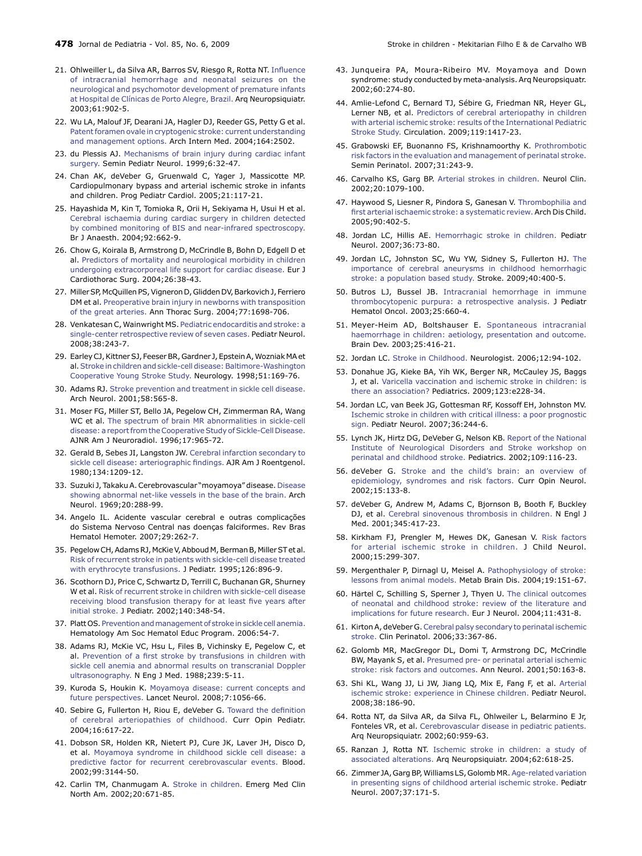- 21. Ohlweiller L, da Silva AR, Barros SV, Riesgo R, Rotta NT. [Influence](http://www.ncbi.nlm.nih.gov/pubmed/14762587) [of intracranial hemorrhage and neonatal seizures on the](http://www.ncbi.nlm.nih.gov/pubmed/14762587) [neurological and psychomotor development of premature infants](http://www.ncbi.nlm.nih.gov/pubmed/14762587) [at Hospital de Clínicas de Porto Alegre, Brazil.](http://www.ncbi.nlm.nih.gov/pubmed/14762587) Arq Neuropsiquiatr. 2003;61:902‑5.
- 22. Wu LA, Malouf JF, Dearani JA, Hagler DJ, Reeder GS, Petty G et al. [Patent foramen ovale in cryptogenic stroke: current understanding](http://www.ncbi.nlm.nih.gov/pubmed/15136302) [and management options.](http://www.ncbi.nlm.nih.gov/pubmed/15136302) Arch Intern Med. 2004;164:2502.
- 23. du Plessis AJ. [Mechanisms of brain injury during cardiac infant](http://www.ncbi.nlm.nih.gov/pubmed/10098228) [surgery.](http://www.ncbi.nlm.nih.gov/pubmed/10098228) Semin Pediatr Neurol. 1999;6:32-47.
- 24. Chan AK, deVeber G, Gruenwald C, Yager J, Massicotte MP. Cardiopulmonary bypass and arterial ischemic stroke in infants and children. Prog Pediatr Cardiol. 2005;21:117-21.
- 25. Hayashida M, Kin T, Tomioka R, Orii H, Sekiyama H, Usui H et al. [Cerebral ischaemia during cardiac surgery in children detected](http://www.ncbi.nlm.nih.gov/pubmed/15033888) [by combined monitoring of BIS and near-infrared spectroscopy.](http://www.ncbi.nlm.nih.gov/pubmed/15033888) Br J Anaesth. 2004;92:662-9.
- 26. Chow G, Koirala B, Armstrong D, McCrindle B, Bohn D, Edgell D et al. [Predictors of mortality and neurological morbidity in children](http://www.ncbi.nlm.nih.gov/pubmed/15200977) [undergoing extracorporeal life support for cardiac disease.](http://www.ncbi.nlm.nih.gov/pubmed/15200977) Eur J Cardiothorac Surg. 2004;26:38-43.
- 27. Miller SP, McQuillen PS, Vigneron D, Glidden DV, Barkovich J, Ferriero DM et al. [Preoperative brain injury in newborns with transposition](http://www.ncbi.nlm.nih.gov/pubmed/15111170) [of the great arteries.](http://www.ncbi.nlm.nih.gov/pubmed/15111170) Ann Thorac Surg. 2004;77:1698-706.
- 28. Venkatesan C, Wainwright MS. [Pediatric endocarditis and stroke: a](http://www.ncbi.nlm.nih.gov/pubmed/18358401) [single-center retrospective review of seven cases.](http://www.ncbi.nlm.nih.gov/pubmed/18358401) Pediatr Neurol. 2008;38:243-7.
- 29. Earley CJ, Kittner SJ, Feeser BR, Gardner J, Epstein A, Wozniak MA et al. [Stroke in children and sickle-cell disease: Baltimore-Washington](http://www.ncbi.nlm.nih.gov/pubmed/9674798) [Cooperative Young Stroke Study.](http://www.ncbi.nlm.nih.gov/pubmed/9674798) Neurology. 1998;51:169-76.
- 30. Adams RJ. [Stroke prevention and treatment in sickle cell disease.](http://www.ncbi.nlm.nih.gov/pubmed/11295986) Arch Neurol. 2001;58:565-8.
- 31. Moser FG, Miller ST, Bello JA, Pegelow CH, Zimmerman RA, Wang WC et al. [The spectrum of brain MR abnormalities in sickle-cell](http://www.ncbi.nlm.nih.gov/pubmed/8733975) [disease: a report from the Cooperative Study of Sickle-Cell Disease.](http://www.ncbi.nlm.nih.gov/pubmed/8733975) AJNR Am J Neuroradiol. 1996;17:965-72.
- 32. Gerald B, Sebes JI, Langston JW. [Cerebral infarction secondary to](http://www.ncbi.nlm.nih.gov/pubmed/6770633) [sickle cell disease: arteriographic findings.](http://www.ncbi.nlm.nih.gov/pubmed/6770633) AJR Am J Roentgenol. 1980;134:1209-12.
- 33. Suzuki J, Takaku A. Cerebrovascular "moyamoya" disease. [Disease](http://www.ncbi.nlm.nih.gov/pubmed/5775283)  [showing abnormal net-like vessels in the base of the brain.](http://www.ncbi.nlm.nih.gov/pubmed/5775283) Arch Neurol. 1969;20:288-99.
- 34. Angelo IL. Acidente vascular cerebral e outras complicações do Sistema Nervoso Central nas doenças falciformes. Rev Bras Hematol Hemoter. 2007;29:262-7.
- 35. Pegelow CH, Adams RJ, McKie V, Abboud M, Berman B, Miller ST et al. [Risk of recurrent stroke in patients with sickle-cell disease treated](http://www.ncbi.nlm.nih.gov/pubmed/7776091) [with erythrocyte transfusions.](http://www.ncbi.nlm.nih.gov/pubmed/7776091) J Pediatr. 1995;126:896‑9.
- 36. Scothorn DJ, Price C, Schwartz D, Terrill C, Buchanan GR, Shurney W et al. [Risk of recurrent stroke in children with sickle-cell disease](http://www.ncbi.nlm.nih.gov/pubmed/11953734) [receiving blood transfusion therapy for at least five years after](http://www.ncbi.nlm.nih.gov/pubmed/11953734) [initial stroke.](http://www.ncbi.nlm.nih.gov/pubmed/11953734) J Pediatr. 2002;140:348-54.
- 37. Platt OS. [Prevention and management of stroke in sickle cell anemia.](http://www.ncbi.nlm.nih.gov/pubmed/17124040) Hematology Am Soc Hematol Educ Program. 2006:54‑7.
- 38. Adams RJ, McKie VC, Hsu L, Files B, Vichinsky E, Pegelow C, et al. [Prevention of a first stroke by transfusions in children with](http://www.ncbi.nlm.nih.gov/pubmed/9647873) [sickle cell anemia and abnormal results on transcranial Doppler](http://www.ncbi.nlm.nih.gov/pubmed/9647873) [ultrasonography.](http://www.ncbi.nlm.nih.gov/pubmed/9647873) N Eng J Med. 1988;239:5-11.
- 39. Kuroda S, Houkin K. [Moyamoya disease: current concepts and](http://www.ncbi.nlm.nih.gov/pubmed/18940695) [future perspectives.](http://www.ncbi.nlm.nih.gov/pubmed/18940695) Lancet Neurol. 2008;7:1056-66.
- 40. Sebire G, Fullerton H, Riou E, deVeber G. [Toward the definition](http://www.ncbi.nlm.nih.gov/pubmed/15548922) [of cerebral arteriopathies of childhood.](http://www.ncbi.nlm.nih.gov/pubmed/15548922) Curr Opin Pediatr. 2004;16:617-22.
- 41. Dobson SR, Holden KR, Nietert PJ, Cure JK, Laver JH, Disco D, et al. [Moyamoya syndrome in childhood sickle cell disease: a](http://www.ncbi.nlm.nih.gov/pubmed/11964276) [predictive factor for recurrent cerebrovascular events.](http://www.ncbi.nlm.nih.gov/pubmed/11964276) Blood. 2002;99:3144-50.
- 42. Carlin TM, Chanmugam A. [Stroke in children.](http://www.ncbi.nlm.nih.gov/pubmed/12379967) Emerg Med Clin North Am. 2002;20:671-85.
- 43. Junqueira PA, Moura-Ribeiro MV. Moyamoya and Down syndrome: study conducted by meta-analysis. Arq Neuropsiquatr. 2002;60:274-80.
- 44. Amlie-Lefond C, Bernard TJ, Sébire G, Friedman NR, Heyer GL, Lerner NB, et al. [Predictors of cerebral arteriopathy in children](http://www.ncbi.nlm.nih.gov/pubmed/19255344) [with arterial ischemic stroke: results of the International Pediatric](http://www.ncbi.nlm.nih.gov/pubmed/19255344) [Stroke Study.](http://www.ncbi.nlm.nih.gov/pubmed/19255344) Circulation. 2009;119:1417-23.
- 45. Grabowski EF, Buonanno FS, Krishnamoorthy K. [Prothrombotic](http://www.ncbi.nlm.nih.gov/pubmed/17825681) [risk factors in the evaluation and management of perinatal stroke.](http://www.ncbi.nlm.nih.gov/pubmed/17825681) Semin Perinatol. 2007;31:243-9.
- 46. Carvalho KS, Garg BP. [Arterial strokes in children.](http://www.ncbi.nlm.nih.gov/pubmed/12616682) Neurol Clin. 2002;20:1079-100.
- 47. Haywood S, Liesner R, Pindora S, Ganesan V. [Thrombophilia and](http://www.ncbi.nlm.nih.gov/pubmed/15781933) [first arterial ischaemic stroke: a systematic review.](http://www.ncbi.nlm.nih.gov/pubmed/15781933) Arch Dis Child. 2005;90:402-5.
- 48. Jordan LC, Hillis AE. [Hemorrhagic stroke in children.](http://www.ncbi.nlm.nih.gov/pubmed/17275656) Pediatr Neurol. 2007;36:73-80.
- 49. Jordan LC, Johnston SC, Wu YW, Sidney S, Fullerton HJ. [The](http://www.ncbi.nlm.nih.gov/pubmed/19023102) [importance of cerebral aneurysms in childhood hemorrhagic](http://www.ncbi.nlm.nih.gov/pubmed/19023102) [stroke: a population based study.](http://www.ncbi.nlm.nih.gov/pubmed/19023102) Stroke. 2009;40:400-5.
- 50. Butros LJ, Bussel JB. [Intracranial hemorrhage in immune](http://www.ncbi.nlm.nih.gov/pubmed/12902925) [thrombocytopenic purpura: a retrospective analysis.](http://www.ncbi.nlm.nih.gov/pubmed/12902925) J Pediatr Hematol Oncol. 2003;25:660-4.
- 51. Meyer-Heim AD, Boltshauser E. [Spontaneous intracranial](http://www.ncbi.nlm.nih.gov/pubmed/12907276) [haemorrhage in children: aetiology, presentation and outcome.](http://www.ncbi.nlm.nih.gov/pubmed/12907276) Brain Dev. 2003;25:416-21.
- 52. Jordan LC. [Stroke in Childhood.](http://www.ncbi.nlm.nih.gov/pubmed/16534446) Neurologist. 2006;12:94-102.
- 53. Donahue JG, Kieke BA, Yih WK, Berger NR, McCauley JS, Baggs J, et al. [Varicella vaccination and ischemic stroke in children: is](http://www.ncbi.nlm.nih.gov/pubmed/19171574) [there an association](http://www.ncbi.nlm.nih.gov/pubmed/19171574)? Pediatrics. 2009;123:e228-34.
- 54. Jordan LC, van Beek JG, Gottesman RF, Kossoff EH, Johnston MV. [Ischemic stroke in children with critical illness: a poor prognostic](http://www.ncbi.nlm.nih.gov/pubmed/17437907) [sign.](http://www.ncbi.nlm.nih.gov/pubmed/17437907) Pediatr Neurol. 2007;36:244-6.
- 55. Lynch JK, Hirtz DG, DeVeber G, Nelson KB. [Report of the National](http://www.ncbi.nlm.nih.gov/pubmed/11773550) [Institute of Neurological Disorders and Stroke workshop on](http://www.ncbi.nlm.nih.gov/pubmed/11773550) [perinatal and childhood stroke.](http://www.ncbi.nlm.nih.gov/pubmed/11773550) Pediatrics. 2002;109:116-23.
- 56. deVeber G. [Stroke and the child's brain: an overview of](http://www.ncbi.nlm.nih.gov/pubmed/11923625) [epidemiology, syndromes and risk factors.](http://www.ncbi.nlm.nih.gov/pubmed/11923625) Curr Opin Neurol. 2002;15:133-8.
- 57. deVeber G, Andrew M, Adams C, Bjornson B, Booth F, Buckley DJ, et al. [Cerebral sinovenous thrombosis in children.](http://www.ncbi.nlm.nih.gov/pubmed/11496852) N Engl J Med. 2001;345:417-23.
- 58. Kirkham FJ, Prengler M, Hewes DK, Ganesan V. [Risk factors](http://www.ncbi.nlm.nih.gov/pubmed/10830196) [for arterial ischemic stroke in children.](http://www.ncbi.nlm.nih.gov/pubmed/10830196) J Child Neurol. 2000;15:299‑307.
- 59. Mergenthaler P, Dirnagl U, Meisel A. [Pathophysiology of stroke:](http://www.ncbi.nlm.nih.gov/pubmed/15554412) [lessons from animal models.](http://www.ncbi.nlm.nih.gov/pubmed/15554412) Metab Brain Dis. 2004;19:151-67.
- 60. Härtel C, Schilling S, Sperner J, Thyen U. [The clinical outcomes](http://www.ncbi.nlm.nih.gov/pubmed/15257679) [of neonatal and childhood stroke: review of the literature and](http://www.ncbi.nlm.nih.gov/pubmed/15257679) [implications for future research.](http://www.ncbi.nlm.nih.gov/pubmed/15257679) Eur J Neurol. 2004;11:431-8.
- 61. Kirton A, deVeber G. [Cerebral palsy secondary to perinatal ischemic](http://www.ncbi.nlm.nih.gov/pubmed/16765730) [stroke.](http://www.ncbi.nlm.nih.gov/pubmed/16765730) Clin Perinatol. 2006;33:367-86.
- 62. Golomb MR, MacGregor DL, Domi T, Armstrong DC, McCrindle BW, Mayank S, et al. [Presumed pre- or perinatal arterial ischemic](http://www.ncbi.nlm.nih.gov/pubmed/11506398) [stroke: risk factors and outcomes.](http://www.ncbi.nlm.nih.gov/pubmed/11506398) Ann Neurol. 2001;50:163-8.
- 63. Shi KL, Wang JJ, Li JW, Jiang LQ, Mix E, Fang F, et al. [Arterial](http://www.ncbi.nlm.nih.gov/pubmed/18279753) [ischemic stroke: experience in Chinese children.](http://www.ncbi.nlm.nih.gov/pubmed/18279753) Pediatr Neurol. 2008;38:186-90.
- 64. Rotta NT, da Silva AR, da Silva FL, Ohlweiler L, Belarmino E Jr, Fonteles VR, et al. [Cerebrovascular disease in pediatric patients.](http://www.ncbi.nlm.nih.gov/pubmed/12563387) Arq Neuropsiquiatr. 2002;60:959-63.
- 65. Ranzan J, Rotta NT. [Ischemic stroke in children: a study of](http://www.ncbi.nlm.nih.gov/pubmed/15334219) [associated alterations.](http://www.ncbi.nlm.nih.gov/pubmed/15334219) Arq Neuropsiquiatr. 2004;62:618-25.
- 66. Zimmer JA, Garg BP, Williams LS, Golomb MR. [Age-related variation](http://www.ncbi.nlm.nih.gov/pubmed/17765804) [in presenting signs of childhood arterial ischemic stroke.](http://www.ncbi.nlm.nih.gov/pubmed/17765804) Pediatr Neurol. 2007;37:171-5.